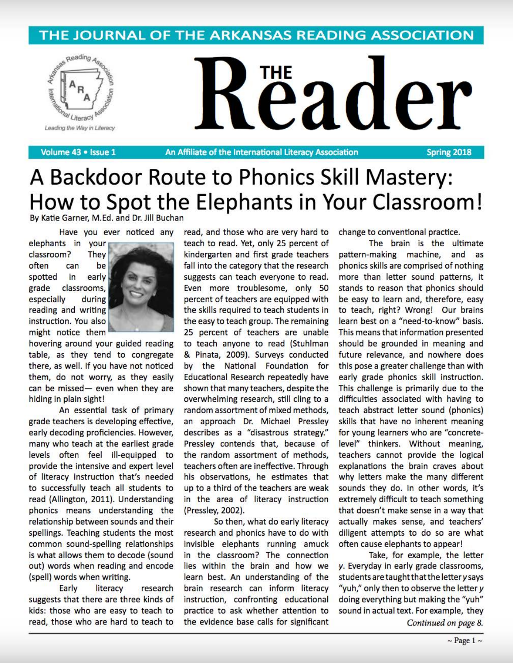### THE JOURNAL OF THE ARKANSAS READING ASSOCIATION



THE reader

Volume 43 . Issue 1

An Affiliate of the International Literacy Association

**Spring 2018** 

# A Backdoor Route to Phonics Skill Mastery: How to Spot the Elephants in Your Classroom!

By Katie Garner, M.Ed. and Dr. Jill Buchan

Have you ever noticed any

elephants in your classroom? They often can be spotted in early classrooms. grade during especially reading and writing instruction. You also might notice them



hovering around your guided reading table, as they tend to congregate there, as well. If you have not noticed them, do not worry, as they easily can be missed- even when they are hiding in plain sight!

An essential task of primary grade teachers is developing effective, early decoding proficiencies. However, many who teach at the earliest grade levels often feel ill-equipped to provide the intensive and expert level of literacy instruction that's needed to successfully teach all students to read (Allington, 2011). Understanding phonics means understanding the relationship between sounds and their spellings. Teaching students the most common sound-spelling relationships is what allows them to decode (sound out) words when reading and encode (spell) words when writing.

literacy Early research suggests that there are three kinds of kids: those who are easy to teach to read, those who are hard to teach to

read, and those who are very hard to teach to read. Yet, only 25 percent of kindergarten and first grade teachers fall into the category that the research suggests can teach everyone to read. Even more troublesome, only 50 percent of teachers are equipped with the skills required to teach students in the easy to teach group. The remaining 25 percent of teachers are unable to teach anyone to read (Stuhlman & Pinata, 2009). Surveys conducted by the National Foundation for Educational Research repeatedly have shown that many teachers, despite the overwhelming research, still cling to a random assortment of mixed methods. an approach Dr. Michael Pressley describes as a "disastrous strategy." Pressley contends that, because of the random assortment of methods, teachers often are ineffective. Through his observations, he estimates that up to a third of the teachers are weak in the area of literacy instruction (Pressley, 2002).

So then, what do early literacy research and phonics have to do with invisible elephants running amuck in the classroom? The connection lies within the brain and how we learn best. An understanding of the brain research can inform literacy instruction, confronting educational practice to ask whether attention to the evidence base calls for significant change to conventional practice.

The brain is the ultimate pattern-making machine, and as phonics skills are comprised of nothing more than letter sound patterns, it stands to reason that phonics should be easy to learn and, therefore, easy to teach, right? Wrong! Our brains learn best on a "need-to-know" basis. This means that information presented should be grounded in meaning and future relevance, and nowhere does this pose a greater challenge than with early grade phonics skill instruction. This challenge is primarily due to the difficulties associated with having to teach abstract letter sound (phonics) skills that have no inherent meaning for young learners who are "concretelevel" thinkers. Without meaning, teachers cannot provide the logical explanations the brain craves about why letters make the many different sounds they do. In other words, it's extremely difficult to teach something that doesn't make sense in a way that actually makes sense, and teachers' diligent attempts to do so are what often cause elephants to appear!

Take, for example, the letter y. Everyday in early grade classrooms, students are taught that the letter y says "yuh," only then to observe the letter y doing everything but making the "yuh" sound in actual text. For example, they Continued on page 8.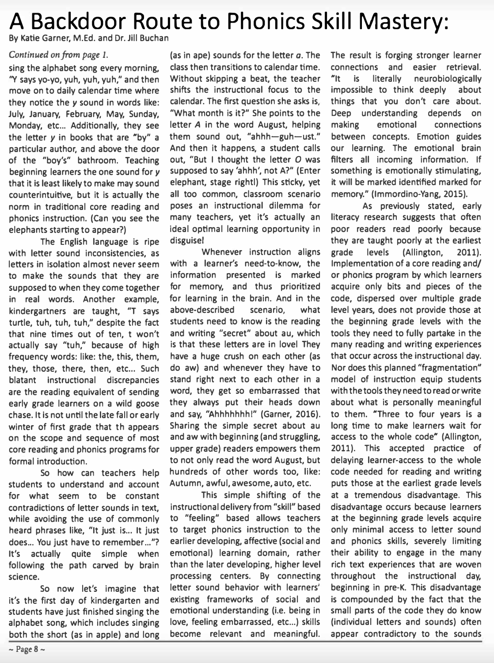# **A Backdoor Route to Phonics Skill Mastery:**

**By Katie Garner, M.Ed. and Dr. Jill Buchan** 

#### *Continued on from page I.*

**sing the alphabet song every morning, "Y says yo-yo, yuh, yuh, yuh," and then move on to daily calendar time where they notice they sound in words like: July, January, February, May, Sunday,**  Monday, etc... Additionally, they see **the letter** *y* **in books that are "by" a particular author, and above the door of the "boy's" bathroom. Teaching beginning learners the one sound for** *y* **that it Is least likely to make may sound counterintuitive, but it is actually the norm in traditional core reading and phonics instruction. (Can you see the elephants starting to appear?)** 

**The English language is ripe with letter sound inconsistencies, as letters in isolation almost never seem to make the sounds that they are supposed to when they come together in real words. Another example, klndergartners are taught, "T says**  turtle, tuh, tuh, tuh," despite the fact **that nine times out of ten, t won't actually say "tuh," because of high frequency words: like: the, this, them, they, those, there, then, etc... Such blatant Instructional discrepancies are the reading equivalent of sending early grade learners on a wild goose chase. It Is not until the late fall or early winter of first grade that th appears on the scope and sequence of most core reading and phonics programs for formal introduction.** 

**So how can teachers help students to understand and account for what seem to be constant contradictions of letter sounds in text, while avoiding the use of commonly heard phrases like, "It just is ... It just does ... You just have to remember ... "? It's actually quite simple when following the path carved by brain science.** 

**So now let's imagine that it's the first day of kindergarten and**  students have just finished singing the **alphabet song, which includes singing both the short (as in apple) and long** 

**(as in ape) sounds for the letter** *a.* **The class then transitions to calendar time. Without skipping a beat, the teacher shifts the instructional focus to the calendar. The first question she asks is, "What month is it?" She points to the letter** *A* **in the word August, helping them sound out, "ahhh-guh-ust." And then it happens, a student calls out, "But I thought the letter** *O* **was supposed to say 'ahhh', not A?" (Enter**  elephant, stage rightl) This sticky, yet **all too common, classroom scenario poses an instructional dilemma for many teachers, yet it's actually an ideal optimal learning opportunity in disguise I** 

Whenever instruction aligns **with a learner's need-to-know, the information presented is marked for memory, and thus prioritized for learning in the brain. And in the above-described scenario, what students need to know is the reading and writing "secret" about au, which is that these letters are in lovel They have a huge crush on each other (as do aw) and whenever they have to stand right next to each other in a word, they get so embarrassed that they always put their heads down and say, "Ahhhhhhhl" (Garner, 2016). Sharing the simple secret about au and aw with beginning (and struggling, upper grade) readers empowers them to not only read the word August, but hundreds of other words too, like: Autumn, awful, awesome, auto, etc.** 

**This simple shifting of the**  instructional delivery from "skill" based **to "feeling" based allows teachers to target phonics instruction to the earlier developing, affective (social and emotional) learning domain, rather than the later developing, higher level processing centers. By connecting letter sound behavior with learners' existing frameworks of social and emotional understanding (i.e. being in** love, feeling embarrassed, etc...) skills **become relevant and meaningful.** 

**The result is forging stronger learner connections and easier retrieval. "It Is literally neurobiologlcally impossible to think deeply about things that you don't care about. Deep understanding depends on making emotional connections between concepts. Emotion guides our learning. The emotional brain filters all incoming information. If something is emotionally stimulating, it will be marked identified marked for memory." (Immordino-Yang, 2015).** 

**As previously stated, early literacy research suggests that often poor readers read poorly because they are taught poorly at the earliest grade levels (Allington, 2011). Implementation of a core reading and/ or phonics program by which learners acquire only bits and pieces of the code, dispersed over multiple grade level years, does not provide those at the beginning grade levels with the tools they need to fully partake in the many reading and writing experiences that occur across the instructional day. Nor does this planned "fragmentation" model of Instruction equip students with the tools they need to read or write about what is personally meaningful**  to them. "Three to four years is a **long time to make learners wait for access to the whole code" (Allington, 2011). This accepted practice of delaying learner-access to the whole code needed for reading and writing puts those at the earliest grade levels at a tremendous disadvantage. This disadvantage occurs because learners at the beginning grade levels acquire only minimal access to letter sound and phonics skills, severely limiting their ability to engage in the many rich text experiences that are woven throughout the instructional day, beginning in pre-K. This disadvantage is compounded by the fact that the small parts of the code they do know (individual letters and sounds) often appear contradictory to the sounds**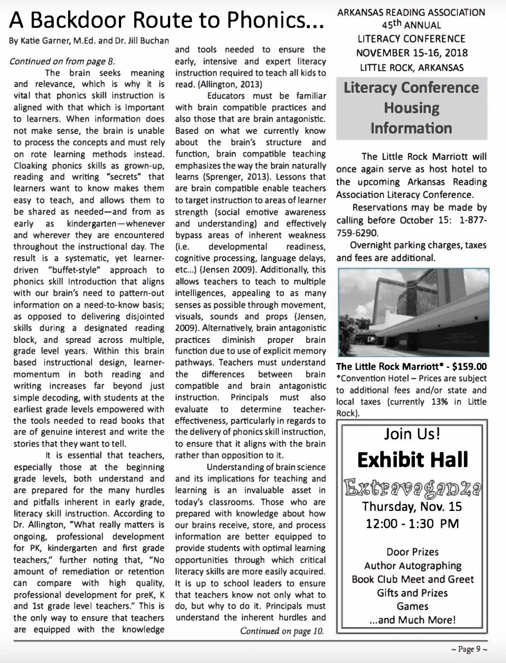## **A Backdoor Route to Phonics...**

**By Katie Garner, M.Ed. and Dr. Jill Buchan**

#### **Continued on from page** *8***.**

**The brain seeks meaning and relevance, which is why it is vital that phonics skill instruction is aligned with that which is Important to learners. When information does not make sense, the brain is unable to process the concepts and must rely on rote learning methods instead. Cloaking phonics skills as grown-up, reading and writing "secrets" that learners want to know makes them easy to teach, and allows them to be shared as needed-and from as early as kindergarten-whenever and wherever they are encountered throughout the instructional day. The result is a systematic, yet learnerdriven ubuffet-style" approach to phonics skill Introduction that aligns with our brain's need to pattern-out information on a need-to-know basis; as opposed to delivering disjointed skills during a designated reading block, and spread across multiple, grade level years. Within this brain based instructional design, learnermomentum in both reading and**  writing increases far beyond just **simple decoding, with students at the earliest grade levels empowered with the tools needed to read books that are of genuine interest and write the stories that they want to tell.** 

**It is essential that teachers, especially those at the beginning grade levels, both understand and are prepared for the many hurdles and pitfalls inherent in early grade, literacy skill instruction. According to Dr. Allington, "What really matters is ongoing, professional development for PK, kindergarten and first grade teachers," further noting that, "No amount of remediation or retention can compare with high quality, professional development for preK, K and 1st grade level teachers." This is the only way to ensure that teachers are equipped with the knowledge** 

**and tools needed to ensure the early, intensive and expert literacy instruction required to teach all kids to read. (Allington, 2013)** 

**Educators must be familiar with brain compatible practices and also those that are brain antagonistic. Based on what we currently know about the brain's structure and function, brain compatible teaching emphasizes the way the brain naturally learns (Sprenger, 2013). Lessons that are brain compatible enable teachers to target instruction to areas of learner strength (social emotive awareness and understanding) and effectively bypass areas of inherent weakness**   $(i.e.$  developmental **cognitive processing, language delays, etc ... ) (Jensen 2009). Additionally, this allows teachers to teach to multiple intelligences, appealing to as many senses as possible through movement, visuals, sounds and props (Jensen, 2009). Alternatively, brain antagonistic practices diminish proper brain function due to use of explicit memory pathways. Teachers must understand the differences between brain compatible and brain antagonistic instruction. Principals must also evaluate to determine teachereffectiveness, particularly in regards to the delivery of phonics skill instruction, to ensure that it aligns with the brain rather than opposition to it.** 

**Understanding of brain science and its implications for teaching and learning is an invaluable asset in today's classrooms. Those who are prepared with knowledge about how our brains receive, store, and process information are better equipped to provide students with optimal learning opportunities through which critical literacy skills are more easily acquired. It Is up to school leaders to ensure that teachers know not only what to do, but why to do it. Principals must understand the Inherent hurdles and** 

*Continued on page 10.* 

**ARKANSAS READING ASSOCIATION 45th ANNUAL LITERACY CONFERENCE NOVEMBER 15-16, 2018 LITTLE ROCK, ARKANSAS** 

### **Literacy Conference Housing Information**

**The Little Rock Marriott will once again serve as host hotel to the upcoming Arkansas Reading Association Literacy Conference.** 

**Reservations may be made by calling before October 15: 1-877- 759-6290.**

**Overnight parking charges, taxes and fees are additional.** 



**The Little Rock Marriott• - \$159.00 •convention Hotel - Prices are subject to additional fees and/or state and local taxes (currently 13% in Little Rock).**